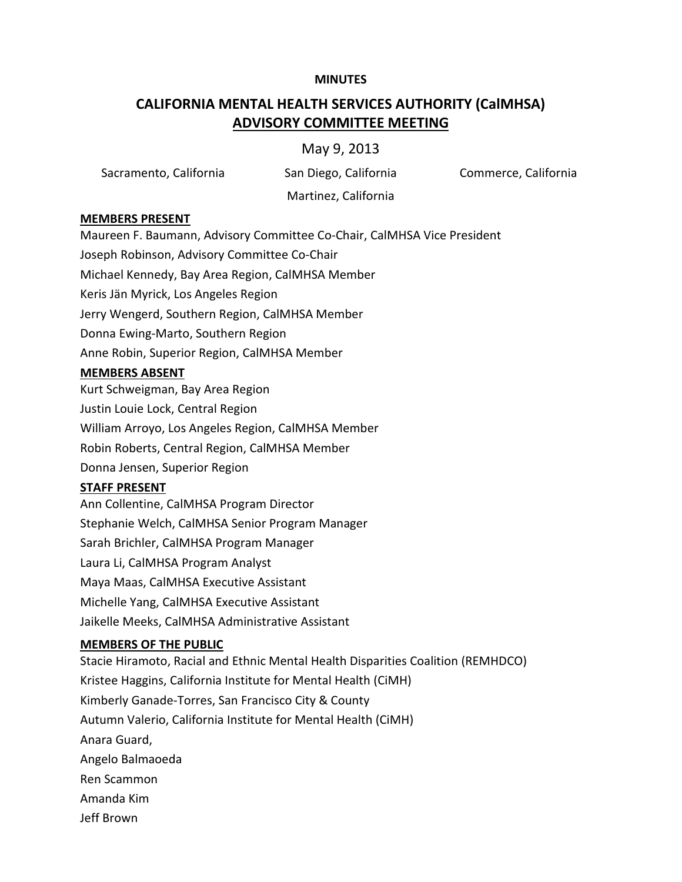### **MINUTES**

# **CALIFORNIA MENTAL HEALTH SERVICES AUTHORITY (CalMHSA) ADVISORY COMMITTEE MEETING**

# May 9, 2013

Sacramento, California San Diego, California Commerce, California

Martinez, California

#### **MEMBERS PRESENT**

Maureen F. Baumann, Advisory Committee Co-Chair, CalMHSA Vice President

Joseph Robinson, Advisory Committee Co-Chair

Michael Kennedy, Bay Area Region, CalMHSA Member

Keris Jän Myrick, Los Angeles Region

Jerry Wengerd, Southern Region, CalMHSA Member

Donna Ewing-Marto, Southern Region

Anne Robin, Superior Region, CalMHSA Member

#### **MEMBERS ABSENT**

Kurt Schweigman, Bay Area Region Justin Louie Lock, Central Region William Arroyo, Los Angeles Region, CalMHSA Member Robin Roberts, Central Region, CalMHSA Member Donna Jensen, Superior Region

## **STAFF PRESENT**

Ann Collentine, CalMHSA Program Director Stephanie Welch, CalMHSA Senior Program Manager Sarah Brichler, CalMHSA Program Manager Laura Li, CalMHSA Program Analyst Maya Maas, CalMHSA Executive Assistant Michelle Yang, CalMHSA Executive Assistant Jaikelle Meeks, CalMHSA Administrative Assistant

#### **MEMBERS OF THE PUBLIC**

Stacie Hiramoto, Racial and Ethnic Mental Health Disparities Coalition (REMHDCO) Kristee Haggins, California Institute for Mental Health (CiMH) Kimberly Ganade-Torres, San Francisco City & County Autumn Valerio, California Institute for Mental Health (CiMH) Anara Guard, Angelo Balmaoeda Ren Scammon Amanda Kim Jeff Brown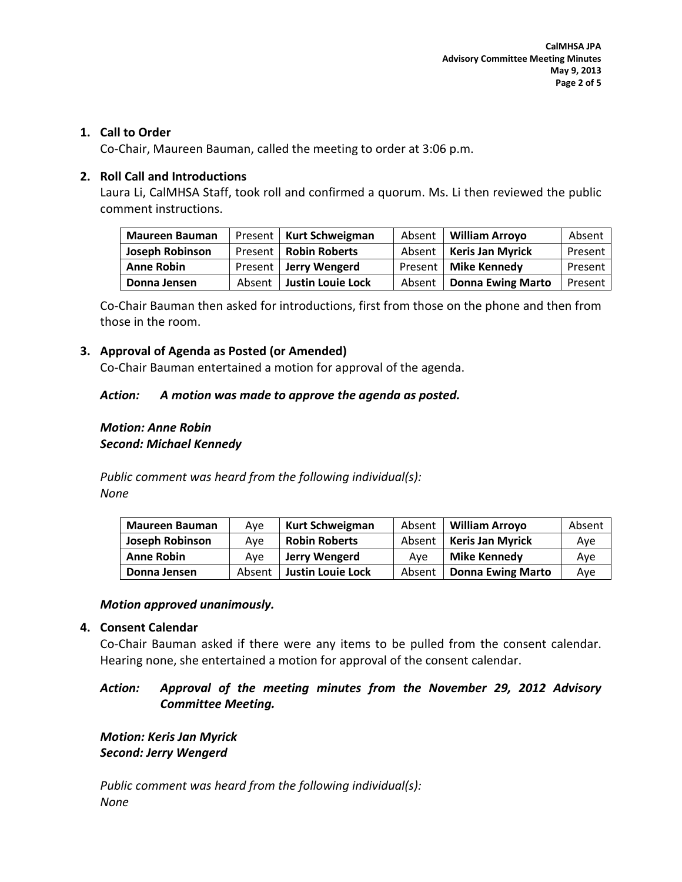## **1. Call to Order**

Co-Chair, Maureen Bauman, called the meeting to order at 3:06 p.m.

# **2. Roll Call and Introductions**

Laura Li, CalMHSA Staff, took roll and confirmed a quorum. Ms. Li then reviewed the public comment instructions.

| <b>Maureen Bauman</b>  |        | Present   Kurt Schweigman | Absent | <b>William Arroyo</b>    | Absent  |
|------------------------|--------|---------------------------|--------|--------------------------|---------|
| <b>Joseph Robinson</b> |        | Present   Robin Roberts   | Absent | <b>Keris Jan Myrick</b>  | Present |
| <b>Anne Robin</b>      |        | Present   Jerry Wengerd   |        | Present   Mike Kennedy   | Present |
| Donna Jensen           | Absent | Justin Louie Lock         | Absent | <b>Donna Ewing Marto</b> | Present |

Co-Chair Bauman then asked for introductions, first from those on the phone and then from those in the room.

# **3. Approval of Agenda as Posted (or Amended)**

Co-Chair Bauman entertained a motion for approval of the agenda.

## *Action: A motion was made to approve the agenda as posted.*

# *Motion: Anne Robin Second: Michael Kennedy*

*Public comment was heard from the following individual(s): None*

| <b>Maureen Bauman</b>  | Ave    | <b>Kurt Schweigman</b>   | Absent | <b>William Arrovo</b>    | Absent |
|------------------------|--------|--------------------------|--------|--------------------------|--------|
| <b>Joseph Robinson</b> | Ave    | <b>Robin Roberts</b>     | Absent | <b>Keris Jan Myrick</b>  | Ave    |
| <b>Anne Robin</b>      | Ave    | Jerry Wengerd            | Ave    | <b>Mike Kennedy</b>      | Ave    |
| Donna Jensen           | Absent | <b>Justin Louie Lock</b> | Absent | <b>Donna Ewing Marto</b> | Ave    |

## *Motion approved unanimously.*

## **4. Consent Calendar**

Co-Chair Bauman asked if there were any items to be pulled from the consent calendar. Hearing none, she entertained a motion for approval of the consent calendar.

# *Action: Approval of the meeting minutes from the November 29, 2012 Advisory Committee Meeting.*

*Motion: Keris Jan Myrick Second: Jerry Wengerd*

*Public comment was heard from the following individual(s): None*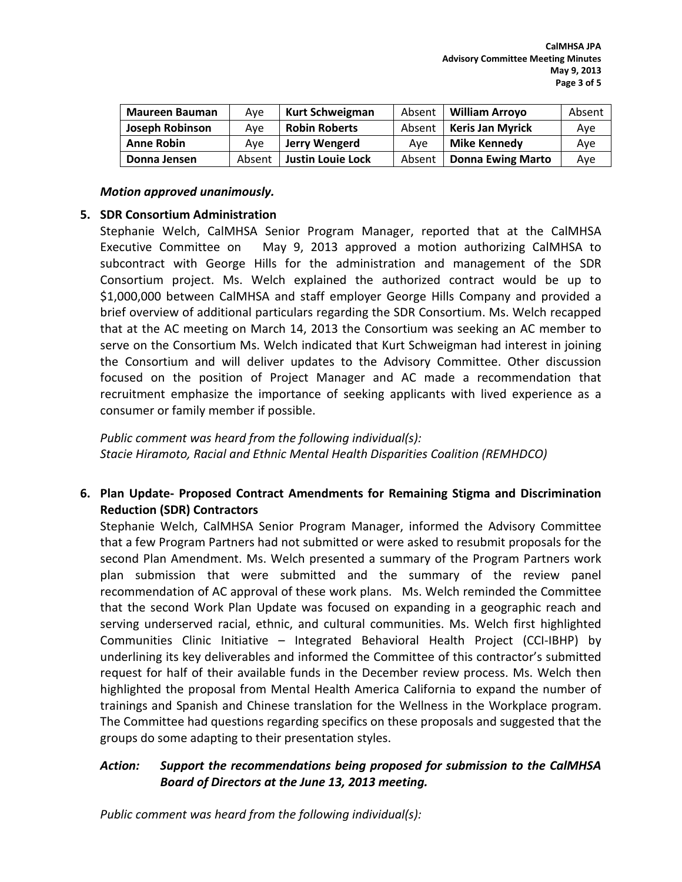| <b>Maureen Bauman</b> | Ave    | Kurt Schweigman          | Absent | <b>William Arroyo</b>    | Absent |
|-----------------------|--------|--------------------------|--------|--------------------------|--------|
| Joseph Robinson       | Ave    | <b>Robin Roberts</b>     | Absent | <b>Keris Jan Myrick</b>  | Ave    |
| <b>Anne Robin</b>     | Ave    | Jerry Wengerd            | Ave    | Mike Kennedv             | Ave    |
| Donna Jensen          | Absent | <b>Justin Louie Lock</b> | Absent | <b>Donna Ewing Marto</b> | Ave    |

#### *Motion approved unanimously.*

## **5. SDR Consortium Administration**

Stephanie Welch, CalMHSA Senior Program Manager, reported that at the CalMHSA Executive Committee on May 9, 2013 approved a motion authorizing CalMHSA to subcontract with George Hills for the administration and management of the SDR Consortium project. Ms. Welch explained the authorized contract would be up to \$1,000,000 between CalMHSA and staff employer George Hills Company and provided a brief overview of additional particulars regarding the SDR Consortium. Ms. Welch recapped that at the AC meeting on March 14, 2013 the Consortium was seeking an AC member to serve on the Consortium Ms. Welch indicated that Kurt Schweigman had interest in joining the Consortium and will deliver updates to the Advisory Committee. Other discussion focused on the position of Project Manager and AC made a recommendation that recruitment emphasize the importance of seeking applicants with lived experience as a consumer or family member if possible.

*Public comment was heard from the following individual(s): Stacie Hiramoto, Racial and Ethnic Mental Health Disparities Coalition (REMHDCO)*

# **6. Plan Update- Proposed Contract Amendments for Remaining Stigma and Discrimination Reduction (SDR) Contractors**

Stephanie Welch, CalMHSA Senior Program Manager, informed the Advisory Committee that a few Program Partners had not submitted or were asked to resubmit proposals for the second Plan Amendment. Ms. Welch presented a summary of the Program Partners work plan submission that were submitted and the summary of the review panel recommendation of AC approval of these work plans. Ms. Welch reminded the Committee that the second Work Plan Update was focused on expanding in a geographic reach and serving underserved racial, ethnic, and cultural communities. Ms. Welch first highlighted Communities Clinic Initiative – Integrated Behavioral Health Project (CCI-IBHP) by underlining its key deliverables and informed the Committee of this contractor's submitted request for half of their available funds in the December review process. Ms. Welch then highlighted the proposal from Mental Health America California to expand the number of trainings and Spanish and Chinese translation for the Wellness in the Workplace program. The Committee had questions regarding specifics on these proposals and suggested that the groups do some adapting to their presentation styles.

# *Action: Support the recommendations being proposed for submission to the CalMHSA Board of Directors at the June 13, 2013 meeting.*

*Public comment was heard from the following individual(s):*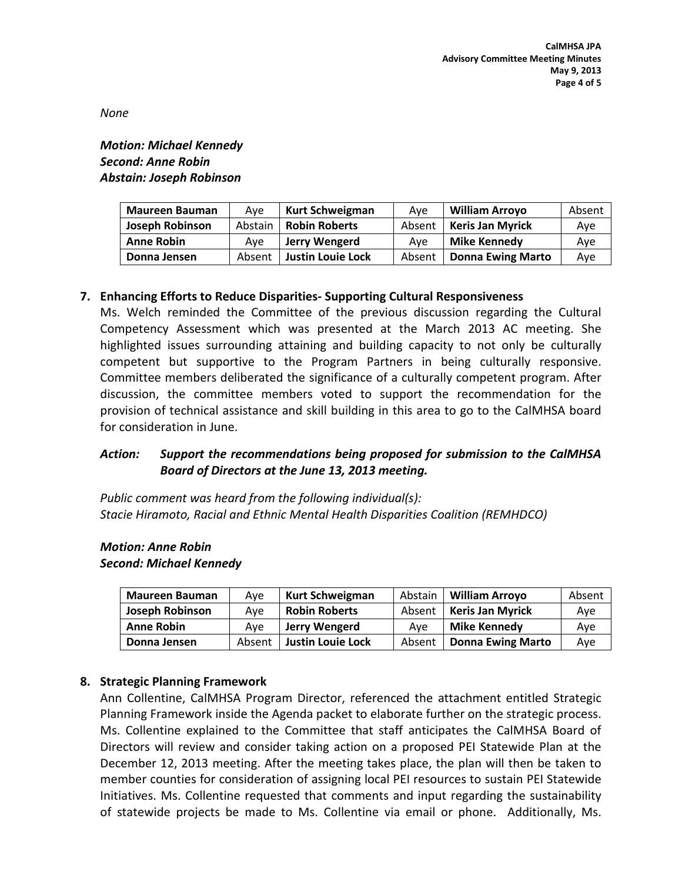*None* 

*Motion: Michael Kennedy Second: Anne Robin Abstain: Joseph Robinson*

| <b>Maureen Bauman</b>  | Ave     | Kurt Schweigman          | Ave    | <b>William Arrovo</b>    | Absent |
|------------------------|---------|--------------------------|--------|--------------------------|--------|
| <b>Joseph Robinson</b> | Abstain | <b>Robin Roberts</b>     | Absent | <b>Keris Jan Myrick</b>  | Ave    |
| <b>Anne Robin</b>      | Ave     | Jerry Wengerd            | Ave    | Mike Kennedy             | Ave    |
| Donna Jensen           | Absent  | <b>Justin Louie Lock</b> | Absent | <b>Donna Ewing Marto</b> | Ave    |

# **7. Enhancing Efforts to Reduce Disparities- Supporting Cultural Responsiveness**

Ms. Welch reminded the Committee of the previous discussion regarding the Cultural Competency Assessment which was presented at the March 2013 AC meeting. She highlighted issues surrounding attaining and building capacity to not only be culturally competent but supportive to the Program Partners in being culturally responsive. Committee members deliberated the significance of a culturally competent program. After discussion, the committee members voted to support the recommendation for the provision of technical assistance and skill building in this area to go to the CalMHSA board for consideration in June.

# *Action: Support the recommendations being proposed for submission to the CalMHSA Board of Directors at the June 13, 2013 meeting.*

*Public comment was heard from the following individual(s): Stacie Hiramoto, Racial and Ethnic Mental Health Disparities Coalition (REMHDCO)*

# *Motion: Anne Robin*

#### *Second: Michael Kennedy*

| <b>Maureen Bauman</b> | Ave    | Kurt Schweigman      | Abstain | <b>William Arrovo</b>    | Absent |
|-----------------------|--------|----------------------|---------|--------------------------|--------|
| Joseph Robinson       | Ave    | <b>Robin Roberts</b> | Absent  | <b>Keris Jan Myrick</b>  | Ave    |
| <b>Anne Robin</b>     | Ave    | Jerry Wengerd        | Ave     | <b>Mike Kennedy</b>      | Ave    |
| Donna Jensen          | Absent | Justin Louie Lock    | Absent  | <b>Donna Ewing Marto</b> | Ave    |

# **8. Strategic Planning Framework**

Ann Collentine, CalMHSA Program Director, referenced the attachment entitled Strategic Planning Framework inside the Agenda packet to elaborate further on the strategic process. Ms. Collentine explained to the Committee that staff anticipates the CalMHSA Board of Directors will review and consider taking action on a proposed PEI Statewide Plan at the December 12, 2013 meeting. After the meeting takes place, the plan will then be taken to member counties for consideration of assigning local PEI resources to sustain PEI Statewide Initiatives. Ms. Collentine requested that comments and input regarding the sustainability of statewide projects be made to Ms. Collentine via email or phone. Additionally, Ms.